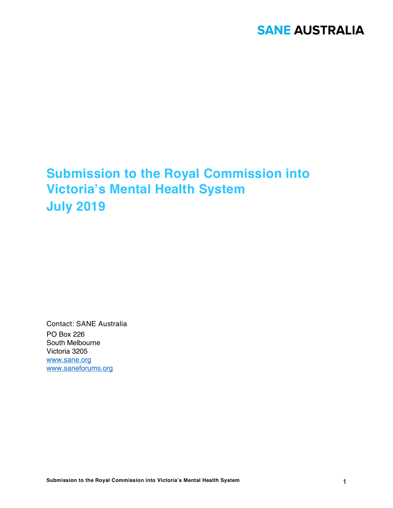# **Submission to the Royal Commission into Victoria's Mental Health System July 2019**

Contact: SANE Australia PO Box 226 South Melbourne Victoria 3205 www.sane.org www.saneforums.org

**Submission to the Royal Commission into Victoria's Mental Health System** 1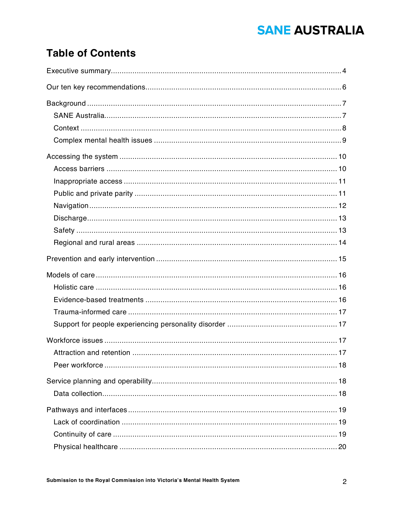### **Table of Contents**

| Attraction and retention | $\dots$ 17 |
|--------------------------|------------|
|                          |            |
|                          |            |
|                          |            |
|                          |            |
|                          |            |
|                          |            |
|                          |            |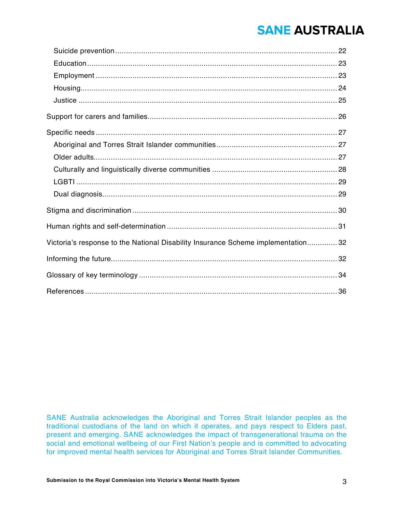| Victoria's response to the National Disability Insurance Scheme implementation 32 |  |
|-----------------------------------------------------------------------------------|--|
|                                                                                   |  |
|                                                                                   |  |
|                                                                                   |  |

SANE Australia acknowledges the Aboriginal and Torres Strait Islander peoples as the traditional custodians of the land on which it operates, and pays respect to Elders past, present and emerging. SANE acknowledges the impact of transgenerational trauma on the social and emotional wellbeing of our First Nation's people and is committed to advocating for improved mental health services for Aboriginal and Torres Strait Islander Communities.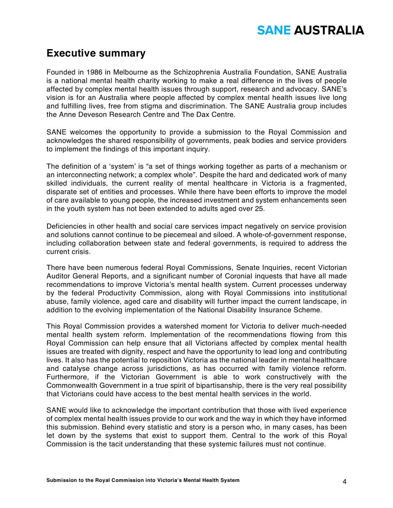### **Executive summary**

Founded in 1986 in Melbourne as the Schizophrenia Australia Foundation, SANE Australia is a national mental health charity working to make a real difference in the lives of people affected by complex mental health issues through support, research and advocacy. SANE's vision is for an Australia where people affected by complex mental health issues live long and fulfilling lives, free from stigma and discrimination. The SANE Australia group includes the Anne Deveson Research Centre and The Dax Centre.

SANE welcomes the opportunity to provide a submission to the Royal Commission and acknowledges the shared responsibility of governments, peak bodies and service providers to implement the findings of this important inquiry.

The definition of a 'system' is "a set of things working together as parts of a mechanism or an interconnecting network; a complex whole". Despite the hard and dedicated work of many skilled individuals, the current reality of mental healthcare in Victoria is a fragmented, disparate set of entities and processes. While there have been efforts to improve the model of care available to young people, the increased investment and system enhancements seen in the youth system has not been extended to adults aged over 25.

Deficiencies in other health and social care services impact negatively on service provision and solutions cannot continue to be piecemeal and siloed. A whole-of-government response, including collaboration between state and federal governments, is required to address the current crisis.

There have been numerous federal Royal Commissions, Senate Inquiries, recent Victorian Auditor General Reports, and a significant number of Coronial inquests that have all made recommendations to improve Victoria's mental health system. Current processes underway by the federal Productivity Commission, along with Royal Commissions into institutional abuse, family violence, aged care and disability will further impact the current landscape, in addition to the evolving implementation of the National Disability Insurance Scheme.

This Royal Commission provides a watershed moment for Victoria to deliver much-needed mental health system reform. Implementation of the recommendations flowing from this Royal Commission can help ensure that all Victorians affected by complex mental health issues are treated with dignity, respect and have the opportunity to lead long and contributing lives. It also has the potential to reposition Victoria as the national leader in mental healthcare and catalyse change across jurisdictions, as has occurred with family violence reform. Furthermore, if the Victorian Government is able to work constructively with the Commonwealth Government in a true spirit of bipartisanship, there is the very real possibility that Victorians could have access to the best mental health services in the world.

SANE would like to acknowledge the important contribution that those with lived experience of complex mental health issues provide to our work and the way in which they have informed this submission. Behind every statistic and story is a person who, in many cases, has been let down by the systems that exist to support them. Central to the work of this Royal Commission is the tacit understanding that these systemic failures must not continue.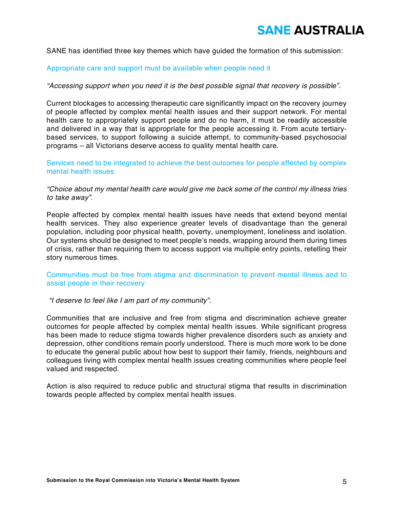SANE has identified three key themes which have guided the formation of this submission:

#### Appropriate care and support must be available when people need it

#### *"Accessing support when you need it is the best possible signal that recovery is possible".*

Current blockages to accessing therapeutic care significantly impact on the recovery journey of people affected by complex mental health issues and their support network. For mental health care to appropriately support people and do no harm, it must be readily accessible and delivered in a way that is appropriate for the people accessing it. From acute tertiarybased services, to support following a suicide attempt, to community-based psychosocial programs – all Victorians deserve access to quality mental health care.

Services need to be integrated to achieve the best outcomes for people affected by complex mental health issues

*"Choice about my mental health care would give me back some of the control my illness tries to take away".*

People affected by complex mental health issues have needs that extend beyond mental health services. They also experience greater levels of disadvantage than the general population, including poor physical health, poverty, unemployment, loneliness and isolation. Our systems should be designed to meet people's needs, wrapping around them during times of crisis, rather than requiring them to access support via multiple entry points, retelling their story numerous times.

Communities must be free from stigma and discrimination to prevent mental illness and to assist people in their recovery

*"I deserve to feel like I am part of my community".*

Communities that are inclusive and free from stigma and discrimination achieve greater outcomes for people affected by complex mental health issues. While significant progress has been made to reduce stigma towards higher prevalence disorders such as anxiety and depression, other conditions remain poorly understood. There is much more work to be done to educate the general public about how best to support their family, friends, neighbours and colleagues living with complex mental health issues creating communities where people feel valued and respected.

Action is also required to reduce public and structural stigma that results in discrimination towards people affected by complex mental health issues.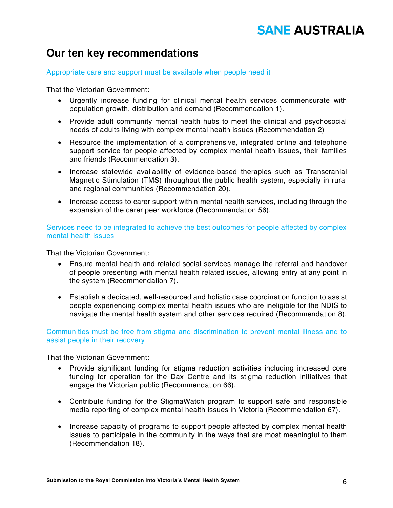### **Our ten key recommendations**

#### Appropriate care and support must be available when people need it

That the Victorian Government:

- Urgently increase funding for clinical mental health services commensurate with population growth, distribution and demand (Recommendation 1).
- Provide adult community mental health hubs to meet the clinical and psychosocial needs of adults living with complex mental health issues (Recommendation 2)
- Resource the implementation of a comprehensive, integrated online and telephone support service for people affected by complex mental health issues, their families and friends (Recommendation 3).
- Increase statewide availability of evidence-based therapies such as Transcranial Magnetic Stimulation (TMS) throughout the public health system, especially in rural and regional communities (Recommendation 20).
- Increase access to carer support within mental health services, including through the expansion of the carer peer workforce (Recommendation 56).

Services need to be integrated to achieve the best outcomes for people affected by complex mental health issues

That the Victorian Government:

- Ensure mental health and related social services manage the referral and handover of people presenting with mental health related issues, allowing entry at any point in the system (Recommendation 7).
- Establish a dedicated, well-resourced and holistic case coordination function to assist people experiencing complex mental health issues who are ineligible for the NDIS to navigate the mental health system and other services required (Recommendation 8).

Communities must be free from stigma and discrimination to prevent mental illness and to assist people in their recovery

That the Victorian Government:

- Provide significant funding for stigma reduction activities including increased core funding for operation for the Dax Centre and its stigma reduction initiatives that engage the Victorian public (Recommendation 66).
- Contribute funding for the StigmaWatch program to support safe and responsible media reporting of complex mental health issues in Victoria (Recommendation 67).
- Increase capacity of programs to support people affected by complex mental health issues to participate in the community in the ways that are most meaningful to them (Recommendation 18).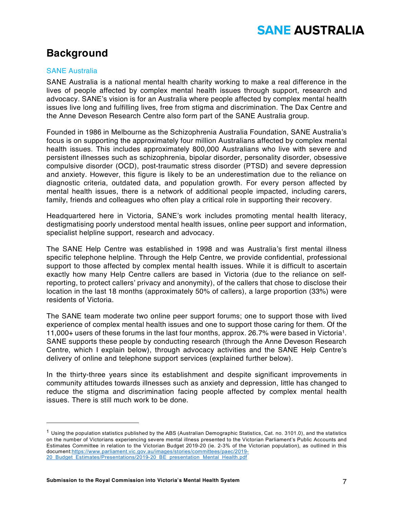### **Background**

#### SANE Australia

-

SANE Australia is a national mental health charity working to make a real difference in the lives of people affected by complex mental health issues through support, research and advocacy. SANE's vision is for an Australia where people affected by complex mental health issues live long and fulfilling lives, free from stigma and discrimination. The Dax Centre and the Anne Deveson Research Centre also form part of the SANE Australia group.

Founded in 1986 in Melbourne as the Schizophrenia Australia Foundation, SANE Australia's focus is on supporting the approximately four million Australians affected by complex mental health issues. This includes approximately 800,000 Australians who live with severe and persistent illnesses such as schizophrenia, bipolar disorder, personality disorder, obsessive compulsive disorder (OCD), post-traumatic stress disorder (PTSD) and severe depression and anxiety. However, this figure is likely to be an underestimation due to the reliance on diagnostic criteria, outdated data, and population growth. For every person affected by mental health issues, there is a network of additional people impacted, including carers, family, friends and colleagues who often play a critical role in supporting their recovery.

Headquartered here in Victoria, SANE's work includes promoting mental health literacy, destigmatising poorly understood mental health issues, online peer support and information, specialist helpline support, research and advocacy.

The SANE Help Centre was established in 1998 and was Australia's first mental illness specific telephone helpline. Through the Help Centre, we provide confidential, professional support to those affected by complex mental health issues. While it is difficult to ascertain exactly how many Help Centre callers are based in Victoria (due to the reliance on selfreporting, to protect callers' privacy and anonymity), of the callers that chose to disclose their location in the last 18 months (approximately 50% of callers), a large proportion (33%) were residents of Victoria.

The SANE team moderate two online peer support forums; one to support those with lived experience of complex mental health issues and one to support those caring for them. Of the 11,000+ users of these forums in the last four months, approx. 26.7% were based in Victoria1. SANE supports these people by conducting research (through the Anne Deveson Research Centre, which I explain below), through advocacy activities and the SANE Help Centre's delivery of online and telephone support services (explained further below).

In the thirty-three years since its establishment and despite significant improvements in community attitudes towards illnesses such as anxiety and depression, little has changed to reduce the stigma and discrimination facing people affected by complex mental health issues. There is still much work to be done.

 $<sup>1</sup>$  Using the population statistics published by the ABS (Australian Demographic Statistics, Cat. no. 3101.0), and the statistics</sup> on the number of Victorians experiencing severe mental illness presented to the Victorian Parliament's Public Accounts and Estimates Committee in relation to the Victorian Budget 2019-20 (ie. 2-3% of the Victorian population), as outlined in this document:https://www.parliament.vic.gov.au/images/stories/committees/paec/2019- 20 Budget Estimates/Presentations/2019-20 BE presentation Mental Health.pdf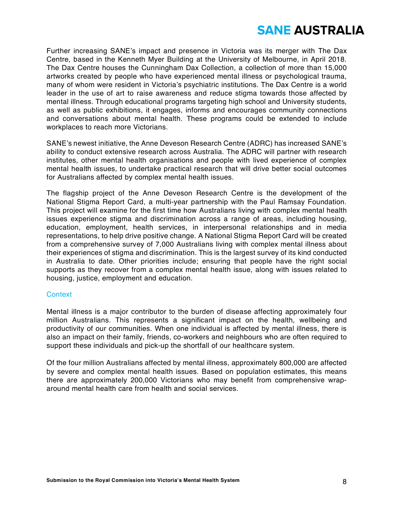Further increasing SANE's impact and presence in Victoria was its merger with The Dax Centre, based in the Kenneth Myer Building at the University of Melbourne, in April 2018. The Dax Centre houses the Cunningham Dax Collection, a collection of more than 15,000 artworks created by people who have experienced mental illness or psychological trauma, many of whom were resident in Victoria's psychiatric institutions. The Dax Centre is a world leader in the use of art to raise awareness and reduce stigma towards those affected by mental illness. Through educational programs targeting high school and University students, as well as public exhibitions, it engages, informs and encourages community connections and conversations about mental health. These programs could be extended to include workplaces to reach more Victorians.

SANE's newest initiative, the Anne Deveson Research Centre (ADRC) has increased SANE's ability to conduct extensive research across Australia. The ADRC will partner with research institutes, other mental health organisations and people with lived experience of complex mental health issues, to undertake practical research that will drive better social outcomes for Australians affected by complex mental health issues.

The flagship project of the Anne Deveson Research Centre is the development of the National Stigma Report Card, a multi-year partnership with the Paul Ramsay Foundation. This project will examine for the first time how Australians living with complex mental health issues experience stigma and discrimination across a range of areas, including housing, education, employment, health services, in interpersonal relationships and in media representations, to help drive positive change. A National Stigma Report Card will be created from a comprehensive survey of 7,000 Australians living with complex mental illness about their experiences of stigma and discrimination. This is the largest survey of its kind conducted in Australia to date. Other priorities include; ensuring that people have the right social supports as they recover from a complex mental health issue, along with issues related to housing, justice, employment and education.

#### **Context**

Mental illness is a major contributor to the burden of disease affecting approximately four million Australians. This represents a significant impact on the health, wellbeing and productivity of our communities. When one individual is affected by mental illness, there is also an impact on their family, friends, co-workers and neighbours who are often required to support these individuals and pick-up the shortfall of our healthcare system.

Of the four million Australians affected by mental illness, approximately 800,000 are affected by severe and complex mental health issues. Based on population estimates, this means there are approximately 200,000 Victorians who may benefit from comprehensive wraparound mental health care from health and social services.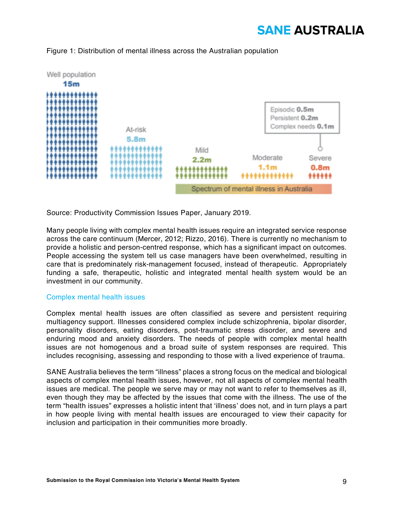

#### Figure 1: Distribution of mental illness across the Australian population

Source: Productivity Commission Issues Paper, January 2019.

Many people living with complex mental health issues require an integrated service response across the care continuum (Mercer, 2012; Rizzo, 2016). There is currently no mechanism to provide a holistic and person-centred response, which has a significant impact on outcomes. People accessing the system tell us case managers have been overwhelmed, resulting in care that is predominately risk-management focused, instead of therapeutic. Appropriately funding a safe, therapeutic, holistic and integrated mental health system would be an investment in our community.

#### Complex mental health issues

Complex mental health issues are often classified as severe and persistent requiring multiagency support. Illnesses considered complex include schizophrenia, bipolar disorder, personality disorders, eating disorders, post-traumatic stress disorder, and severe and enduring mood and anxiety disorders. The needs of people with complex mental health issues are not homogenous and a broad suite of system responses are required. This includes recognising, assessing and responding to those with a lived experience of trauma.

SANE Australia believes the term "illness" places a strong focus on the medical and biological aspects of complex mental health issues, however, not all aspects of complex mental health issues are medical. The people we serve may or may not want to refer to themselves as ill, even though they may be affected by the issues that come with the illness. The use of the term "health issues" expresses a holistic intent that 'illness' does not, and in turn plays a part in how people living with mental health issues are encouraged to view their capacity for inclusion and participation in their communities more broadly.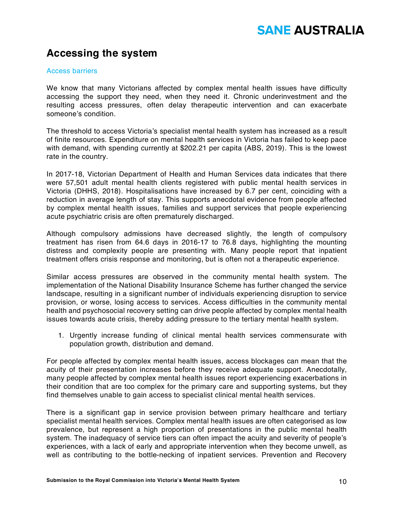### **Accessing the system**

#### Access barriers

We know that many Victorians affected by complex mental health issues have difficulty accessing the support they need, when they need it. Chronic underinvestment and the resulting access pressures, often delay therapeutic intervention and can exacerbate someone's condition.

The threshold to access Victoria's specialist mental health system has increased as a result of finite resources. Expenditure on mental health services in Victoria has failed to keep pace with demand, with spending currently at \$202.21 per capita (ABS, 2019). This is the lowest rate in the country.

In 2017-18, Victorian Department of Health and Human Services data indicates that there were 57,501 adult mental health clients registered with public mental health services in Victoria (DHHS, 2018). Hospitalisations have increased by 6.7 per cent, coinciding with a reduction in average length of stay. This supports anecdotal evidence from people affected by complex mental health issues, families and support services that people experiencing acute psychiatric crisis are often prematurely discharged.

Although compulsory admissions have decreased slightly, the length of compulsory treatment has risen from 64.6 days in 2016-17 to 76.8 days, highlighting the mounting distress and complexity people are presenting with. Many people report that inpatient treatment offers crisis response and monitoring, but is often not a therapeutic experience.

Similar access pressures are observed in the community mental health system. The implementation of the National Disability Insurance Scheme has further changed the service landscape, resulting in a significant number of individuals experiencing disruption to service provision, or worse, losing access to services. Access difficulties in the community mental health and psychosocial recovery setting can drive people affected by complex mental health issues towards acute crisis, thereby adding pressure to the tertiary mental health system.

1. Urgently increase funding of clinical mental health services commensurate with population growth, distribution and demand.

For people affected by complex mental health issues, access blockages can mean that the acuity of their presentation increases before they receive adequate support. Anecdotally, many people affected by complex mental health issues report experiencing exacerbations in their condition that are too complex for the primary care and supporting systems, but they find themselves unable to gain access to specialist clinical mental health services.

There is a significant gap in service provision between primary healthcare and tertiary specialist mental health services. Complex mental health issues are often categorised as low prevalence, but represent a high proportion of presentations in the public mental health system. The inadequacy of service tiers can often impact the acuity and severity of people's experiences, with a lack of early and appropriate intervention when they become unwell, as well as contributing to the bottle-necking of inpatient services. Prevention and Recovery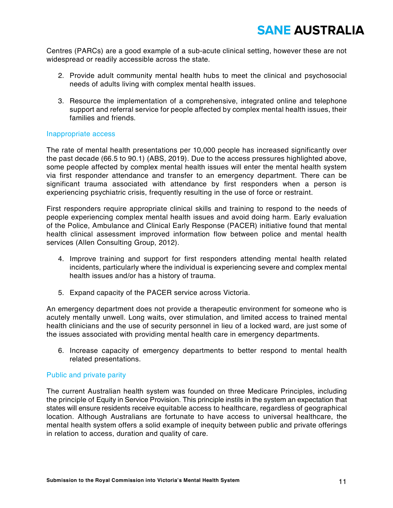Centres (PARCs) are a good example of a sub-acute clinical setting, however these are not widespread or readily accessible across the state.

- 2. Provide adult community mental health hubs to meet the clinical and psychosocial needs of adults living with complex mental health issues.
- 3. Resource the implementation of a comprehensive, integrated online and telephone support and referral service for people affected by complex mental health issues, their families and friends.

#### Inappropriate access

The rate of mental health presentations per 10,000 people has increased significantly over the past decade (66.5 to 90.1) (ABS, 2019). Due to the access pressures highlighted above, some people affected by complex mental health issues will enter the mental health system via first responder attendance and transfer to an emergency department. There can be significant trauma associated with attendance by first responders when a person is experiencing psychiatric crisis, frequently resulting in the use of force or restraint.

First responders require appropriate clinical skills and training to respond to the needs of people experiencing complex mental health issues and avoid doing harm. Early evaluation of the Police, Ambulance and Clinical Early Response (PACER) initiative found that mental health clinical assessment improved information flow between police and mental health services (Allen Consulting Group, 2012).

- 4. Improve training and support for first responders attending mental health related incidents, particularly where the individual is experiencing severe and complex mental health issues and/or has a history of trauma.
- 5. Expand capacity of the PACER service across Victoria.

An emergency department does not provide a therapeutic environment for someone who is acutely mentally unwell. Long waits, over stimulation, and limited access to trained mental health clinicians and the use of security personnel in lieu of a locked ward, are just some of the issues associated with providing mental health care in emergency departments.

6. Increase capacity of emergency departments to better respond to mental health related presentations.

#### Public and private parity

The current Australian health system was founded on three Medicare Principles, including the principle of Equity in Service Provision. This principle instils in the system an expectation that states will ensure residents receive equitable access to healthcare, regardless of geographical location. Although Australians are fortunate to have access to universal healthcare, the mental health system offers a solid example of inequity between public and private offerings in relation to access, duration and quality of care.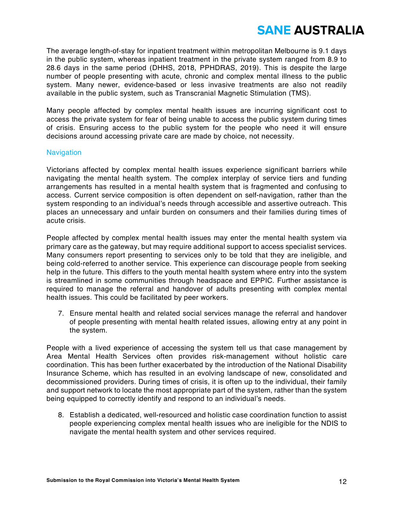The average length-of-stay for inpatient treatment within metropolitan Melbourne is 9.1 days in the public system, whereas inpatient treatment in the private system ranged from 8.9 to 28.6 days in the same period (DHHS, 2018, PPHDRAS, 2019). This is despite the large number of people presenting with acute, chronic and complex mental illness to the public system. Many newer, evidence-based or less invasive treatments are also not readily available in the public system, such as Transcranial Magnetic Stimulation (TMS).

Many people affected by complex mental health issues are incurring significant cost to access the private system for fear of being unable to access the public system during times of crisis. Ensuring access to the public system for the people who need it will ensure decisions around accessing private care are made by choice, not necessity.

#### **Navigation**

Victorians affected by complex mental health issues experience significant barriers while navigating the mental health system. The complex interplay of service tiers and funding arrangements has resulted in a mental health system that is fragmented and confusing to access. Current service composition is often dependent on self-navigation, rather than the system responding to an individual's needs through accessible and assertive outreach. This places an unnecessary and unfair burden on consumers and their families during times of acute crisis.

People affected by complex mental health issues may enter the mental health system via primary care as the gateway, but may require additional support to access specialist services. Many consumers report presenting to services only to be told that they are ineligible, and being cold-referred to another service. This experience can discourage people from seeking help in the future. This differs to the youth mental health system where entry into the system is streamlined in some communities through headspace and EPPIC. Further assistance is required to manage the referral and handover of adults presenting with complex mental health issues. This could be facilitated by peer workers.

7. Ensure mental health and related social services manage the referral and handover of people presenting with mental health related issues, allowing entry at any point in the system.

People with a lived experience of accessing the system tell us that case management by Area Mental Health Services often provides risk-management without holistic care coordination. This has been further exacerbated by the introduction of the National Disability Insurance Scheme, which has resulted in an evolving landscape of new, consolidated and decommissioned providers. During times of crisis, it is often up to the individual, their family and support network to locate the most appropriate part of the system, rather than the system being equipped to correctly identify and respond to an individual's needs.

8. Establish a dedicated, well-resourced and holistic case coordination function to assist people experiencing complex mental health issues who are ineligible for the NDIS to navigate the mental health system and other services required.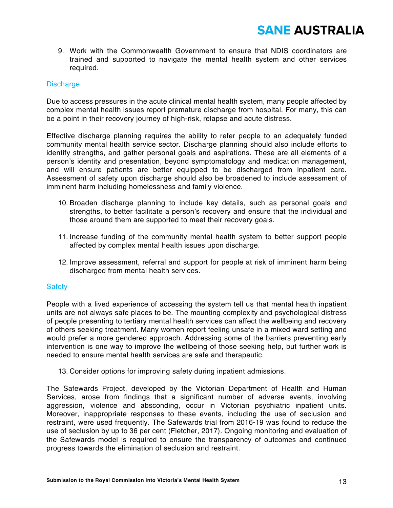9. Work with the Commonwealth Government to ensure that NDIS coordinators are trained and supported to navigate the mental health system and other services required.

#### **Discharge**

Due to access pressures in the acute clinical mental health system, many people affected by complex mental health issues report premature discharge from hospital. For many, this can be a point in their recovery journey of high-risk, relapse and acute distress.

Effective discharge planning requires the ability to refer people to an adequately funded community mental health service sector. Discharge planning should also include efforts to identify strengths, and gather personal goals and aspirations. These are all elements of a person's identity and presentation, beyond symptomatology and medication management, and will ensure patients are better equipped to be discharged from inpatient care. Assessment of safety upon discharge should also be broadened to include assessment of imminent harm including homelessness and family violence.

- 10. Broaden discharge planning to include key details, such as personal goals and strengths, to better facilitate a person's recovery and ensure that the individual and those around them are supported to meet their recovery goals.
- 11. Increase funding of the community mental health system to better support people affected by complex mental health issues upon discharge.
- 12. Improve assessment, referral and support for people at risk of imminent harm being discharged from mental health services.

#### **Safety**

People with a lived experience of accessing the system tell us that mental health inpatient units are not always safe places to be. The mounting complexity and psychological distress of people presenting to tertiary mental health services can affect the wellbeing and recovery of others seeking treatment. Many women report feeling unsafe in a mixed ward setting and would prefer a more gendered approach. Addressing some of the barriers preventing early intervention is one way to improve the wellbeing of those seeking help, but further work is needed to ensure mental health services are safe and therapeutic.

13. Consider options for improving safety during inpatient admissions.

The Safewards Project, developed by the Victorian Department of Health and Human Services, arose from findings that a significant number of adverse events, involving aggression, violence and absconding, occur in Victorian psychiatric inpatient units. Moreover, inappropriate responses to these events, including the use of seclusion and restraint, were used frequently. The Safewards trial from 2016-19 was found to reduce the use of seclusion by up to 36 per cent (Fletcher, 2017). Ongoing monitoring and evaluation of the Safewards model is required to ensure the transparency of outcomes and continued progress towards the elimination of seclusion and restraint.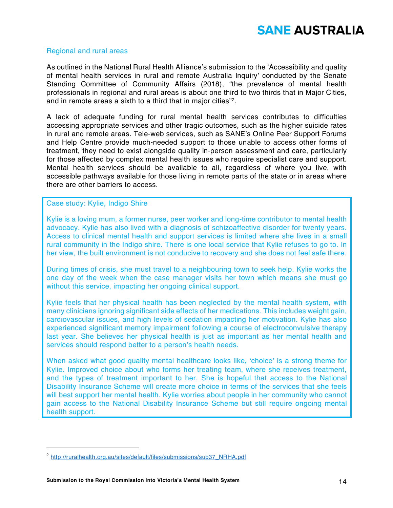#### Regional and rural areas

As outlined in the National Rural Health Alliance's submission to the 'Accessibility and quality of mental health services in rural and remote Australia Inquiry' conducted by the Senate Standing Committee of Community Affairs (2018), "the prevalence of mental health professionals in regional and rural areas is about one third to two thirds that in Major Cities, and in remote areas a sixth to a third that in major cities"2.

A lack of adequate funding for rural mental health services contributes to difficulties accessing appropriate services and other tragic outcomes, such as the higher suicide rates in rural and remote areas. Tele-web services, such as SANE's Online Peer Support Forums and Help Centre provide much-needed support to those unable to access other forms of treatment, they need to exist alongside quality in-person assessment and care, particularly for those affected by complex mental health issues who require specialist care and support. Mental health services should be available to all, regardless of where you live, with accessible pathways available for those living in remote parts of the state or in areas where there are other barriers to access.

#### Case study: Kylie, Indigo Shire

-

Kylie is a loving mum, a former nurse, peer worker and long-time contributor to mental health advocacy. Kylie has also lived with a diagnosis of schizoaffective disorder for twenty years. Access to clinical mental health and support services is limited where she lives in a small rural community in the Indigo shire. There is one local service that Kylie refuses to go to. In her view, the built environment is not conducive to recovery and she does not feel safe there.

During times of crisis, she must travel to a neighbouring town to seek help. Kylie works the one day of the week when the case manager visits her town which means she must go without this service, impacting her ongoing clinical support.

Kylie feels that her physical health has been neglected by the mental health system, with many clinicians ignoring significant side effects of her medications. This includes weight gain, cardiovascular issues, and high levels of sedation impacting her motivation. Kylie has also experienced significant memory impairment following a course of electroconvulsive therapy last year. She believes her physical health is just as important as her mental health and services should respond better to a person's health needs.

When asked what good quality mental healthcare looks like, 'choice' is a strong theme for Kylie. Improved choice about who forms her treating team, where she receives treatment, and the types of treatment important to her. She is hopeful that access to the National Disability Insurance Scheme will create more choice in terms of the services that she feels will best support her mental health. Kylie worries about people in her community who cannot gain access to the National Disability Insurance Scheme but still require ongoing mental health support.

<sup>&</sup>lt;sup>2</sup> http://ruralhealth.org.au/sites/default/files/submissions/sub37\_NRHA.pdf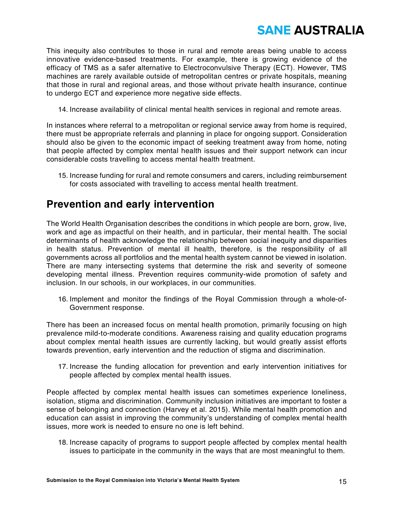This inequity also contributes to those in rural and remote areas being unable to access innovative evidence-based treatments. For example, there is growing evidence of the efficacy of TMS as a safer alternative to Electroconvulsive Therapy (ECT). However, TMS machines are rarely available outside of metropolitan centres or private hospitals, meaning that those in rural and regional areas, and those without private health insurance, continue to undergo ECT and experience more negative side effects.

14. Increase availability of clinical mental health services in regional and remote areas.

In instances where referral to a metropolitan or regional service away from home is required, there must be appropriate referrals and planning in place for ongoing support. Consideration should also be given to the economic impact of seeking treatment away from home, noting that people affected by complex mental health issues and their support network can incur considerable costs travelling to access mental health treatment.

15. Increase funding for rural and remote consumers and carers, including reimbursement for costs associated with travelling to access mental health treatment.

### **Prevention and early intervention**

The World Health Organisation describes the conditions in which people are born, grow, live, work and age as impactful on their health, and in particular, their mental health. The social determinants of health acknowledge the relationship between social inequity and disparities in health status. Prevention of mental ill health, therefore, is the responsibility of all governments across all portfolios and the mental health system cannot be viewed in isolation. There are many intersecting systems that determine the risk and severity of someone developing mental illness. Prevention requires community-wide promotion of safety and inclusion. In our schools, in our workplaces, in our communities.

16. Implement and monitor the findings of the Royal Commission through a whole-of-Government response.

There has been an increased focus on mental health promotion, primarily focusing on high prevalence mild-to-moderate conditions. Awareness raising and quality education programs about complex mental health issues are currently lacking, but would greatly assist efforts towards prevention, early intervention and the reduction of stigma and discrimination.

17. Increase the funding allocation for prevention and early intervention initiatives for people affected by complex mental health issues.

People affected by complex mental health issues can sometimes experience loneliness, isolation, stigma and discrimination. Community inclusion initiatives are important to foster a sense of belonging and connection (Harvey et al. 2015). While mental health promotion and education can assist in improving the community's understanding of complex mental health issues, more work is needed to ensure no one is left behind.

18. Increase capacity of programs to support people affected by complex mental health issues to participate in the community in the ways that are most meaningful to them.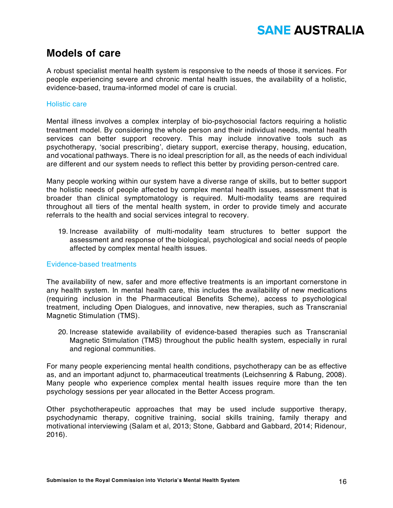### **Models of care**

A robust specialist mental health system is responsive to the needs of those it services. For people experiencing severe and chronic mental health issues, the availability of a holistic, evidence-based, trauma-informed model of care is crucial.

#### Holistic care

Mental illness involves a complex interplay of bio-psychosocial factors requiring a holistic treatment model. By considering the whole person and their individual needs, mental health services can better support recovery. This may include innovative tools such as psychotherapy, 'social prescribing', dietary support, exercise therapy, housing, education, and vocational pathways. There is no ideal prescription for all, as the needs of each individual are different and our system needs to reflect this better by providing person-centred care.

Many people working within our system have a diverse range of skills, but to better support the holistic needs of people affected by complex mental health issues, assessment that is broader than clinical symptomatology is required. Multi-modality teams are required throughout all tiers of the mental health system, in order to provide timely and accurate referrals to the health and social services integral to recovery.

19. Increase availability of multi-modality team structures to better support the assessment and response of the biological, psychological and social needs of people affected by complex mental health issues.

#### Evidence-based treatments

The availability of new, safer and more effective treatments is an important cornerstone in any health system. In mental health care, this includes the availability of new medications (requiring inclusion in the Pharmaceutical Benefits Scheme), access to psychological treatment, including Open Dialogues, and innovative, new therapies, such as Transcranial Magnetic Stimulation (TMS).

20. Increase statewide availability of evidence-based therapies such as Transcranial Magnetic Stimulation (TMS) throughout the public health system, especially in rural and regional communities.

For many people experiencing mental health conditions, psychotherapy can be as effective as, and an important adjunct to, pharmaceutical treatments (Leichsenring & Rabung, 2008). Many people who experience complex mental health issues require more than the ten psychology sessions per year allocated in the Better Access program.

Other psychotherapeutic approaches that may be used include supportive therapy, psychodynamic therapy, cognitive training, social skills training, family therapy and motivational interviewing (Salam et al, 2013; Stone, Gabbard and Gabbard, 2014; Ridenour, 2016).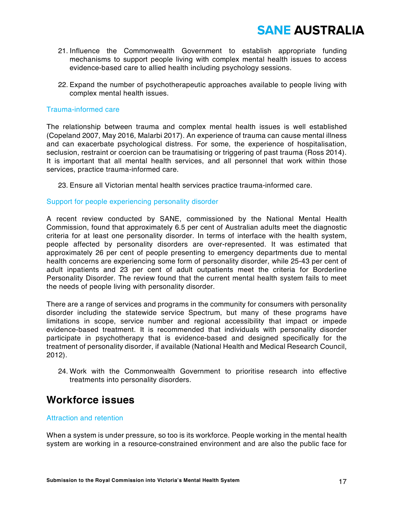- 21. Influence the Commonwealth Government to establish appropriate funding mechanisms to support people living with complex mental health issues to access evidence-based care to allied health including psychology sessions.
- 22. Expand the number of psychotherapeutic approaches available to people living with complex mental health issues.

#### Trauma-informed care

The relationship between trauma and complex mental health issues is well established (Copeland 2007, May 2016, Malarbi 2017). An experience of trauma can cause mental illness and can exacerbate psychological distress. For some, the experience of hospitalisation, seclusion, restraint or coercion can be traumatising or triggering of past trauma (Ross 2014). It is important that all mental health services, and all personnel that work within those services, practice trauma-informed care.

23. Ensure all Victorian mental health services practice trauma-informed care.

#### Support for people experiencing personality disorder

A recent review conducted by SANE, commissioned by the National Mental Health Commission, found that approximately 6.5 per cent of Australian adults meet the diagnostic criteria for at least one personality disorder. In terms of interface with the health system, people affected by personality disorders are over-represented. It was estimated that approximately 26 per cent of people presenting to emergency departments due to mental health concerns are experiencing some form of personality disorder, while 25-43 per cent of adult inpatients and 23 per cent of adult outpatients meet the criteria for Borderline Personality Disorder. The review found that the current mental health system fails to meet the needs of people living with personality disorder.

There are a range of services and programs in the community for consumers with personality disorder including the statewide service Spectrum, but many of these programs have limitations in scope, service number and regional accessibility that impact or impede evidence-based treatment. It is recommended that individuals with personality disorder participate in psychotherapy that is evidence-based and designed specifically for the treatment of personality disorder, if available (National Health and Medical Research Council, 2012).

24. Work with the Commonwealth Government to prioritise research into effective treatments into personality disorders.

### **Workforce issues**

#### Attraction and retention

When a system is under pressure, so too is its workforce. People working in the mental health system are working in a resource-constrained environment and are also the public face for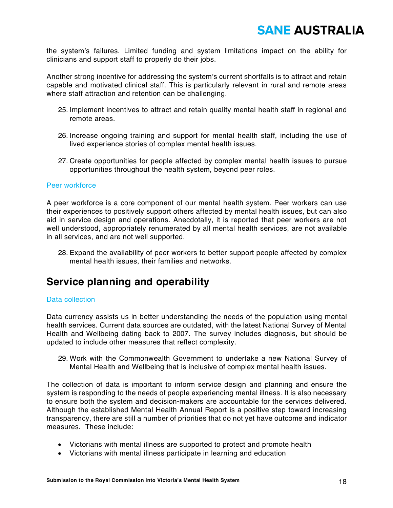the system's failures. Limited funding and system limitations impact on the ability for clinicians and support staff to properly do their jobs.

Another strong incentive for addressing the system's current shortfalls is to attract and retain capable and motivated clinical staff. This is particularly relevant in rural and remote areas where staff attraction and retention can be challenging.

- 25. Implement incentives to attract and retain quality mental health staff in regional and remote areas.
- 26. Increase ongoing training and support for mental health staff, including the use of lived experience stories of complex mental health issues.
- 27. Create opportunities for people affected by complex mental health issues to pursue opportunities throughout the health system, beyond peer roles.

#### Peer workforce

A peer workforce is a core component of our mental health system. Peer workers can use their experiences to positively support others affected by mental health issues, but can also aid in service design and operations. Anecdotally, it is reported that peer workers are not well understood, appropriately renumerated by all mental health services, are not available in all services, and are not well supported.

28. Expand the availability of peer workers to better support people affected by complex mental health issues, their families and networks.

### **Service planning and operability**

#### Data collection

Data currency assists us in better understanding the needs of the population using mental health services. Current data sources are outdated, with the latest National Survey of Mental Health and Wellbeing dating back to 2007. The survey includes diagnosis, but should be updated to include other measures that reflect complexity.

29. Work with the Commonwealth Government to undertake a new National Survey of Mental Health and Wellbeing that is inclusive of complex mental health issues.

The collection of data is important to inform service design and planning and ensure the system is responding to the needs of people experiencing mental illness. It is also necessary to ensure both the system and decision-makers are accountable for the services delivered. Although the established Mental Health Annual Report is a positive step toward increasing transparency, there are still a number of priorities that do not yet have outcome and indicator measures. These include:

- Victorians with mental illness are supported to protect and promote health
- Victorians with mental illness participate in learning and education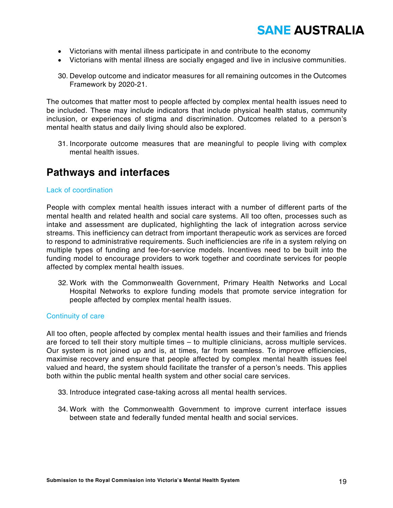- Victorians with mental illness participate in and contribute to the economy
- Victorians with mental illness are socially engaged and live in inclusive communities.
- 30. Develop outcome and indicator measures for all remaining outcomes in the Outcomes Framework by 2020-21.

The outcomes that matter most to people affected by complex mental health issues need to be included. These may include indicators that include physical health status, community inclusion, or experiences of stigma and discrimination. Outcomes related to a person's mental health status and daily living should also be explored.

31. Incorporate outcome measures that are meaningful to people living with complex mental health issues.

### **Pathways and interfaces**

#### Lack of coordination

People with complex mental health issues interact with a number of different parts of the mental health and related health and social care systems. All too often, processes such as intake and assessment are duplicated, highlighting the lack of integration across service streams. This inefficiency can detract from important therapeutic work as services are forced to respond to administrative requirements. Such inefficiencies are rife in a system relying on multiple types of funding and fee-for-service models. Incentives need to be built into the funding model to encourage providers to work together and coordinate services for people affected by complex mental health issues.

32. Work with the Commonwealth Government, Primary Health Networks and Local Hospital Networks to explore funding models that promote service integration for people affected by complex mental health issues.

#### Continuity of care

All too often, people affected by complex mental health issues and their families and friends are forced to tell their story multiple times – to multiple clinicians, across multiple services. Our system is not joined up and is, at times, far from seamless. To improve efficiencies, maximise recovery and ensure that people affected by complex mental health issues feel valued and heard, the system should facilitate the transfer of a person's needs. This applies both within the public mental health system and other social care services.

- 33. Introduce integrated case-taking across all mental health services.
- 34. Work with the Commonwealth Government to improve current interface issues between state and federally funded mental health and social services.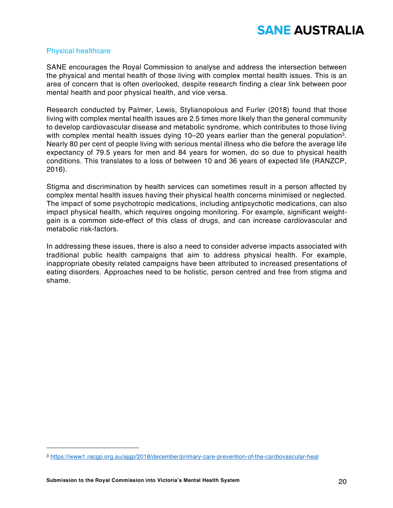#### Physical healthcare

SANE encourages the Royal Commission to analyse and address the intersection between the physical and mental health of those living with complex mental health issues. This is an area of concern that is often overlooked, despite research finding a clear link between poor mental health and poor physical health, and vice versa.

Research conducted by Palmer, Lewis, Stylianopolous and Furler (2018) found that those living with complex mental health issues are 2.5 times more likely than the general community to develop cardiovascular disease and metabolic syndrome, which contributes to those living with complex mental health issues dying 10–20 years earlier than the general population<sup>3</sup>. Nearly 80 per cent of people living with serious mental illness who die before the average life expectancy of 79.5 years for men and 84 years for women, do so due to physical health conditions. This translates to a loss of between 10 and 36 years of expected life (RANZCP, 2016).

Stigma and discrimination by health services can sometimes result in a person affected by complex mental health issues having their physical health concerns minimised or neglected. The impact of some psychotropic medications, including antipsychotic medications, can also impact physical health, which requires ongoing monitoring. For example, significant weightgain is a common side-effect of this class of drugs, and can increase cardiovascular and metabolic risk-factors.

In addressing these issues, there is also a need to consider adverse impacts associated with traditional public health campaigns that aim to address physical health. For example, inappropriate obesity related campaigns have been attributed to increased presentations of eating disorders. Approaches need to be holistic, person centred and free from stigma and shame.

<u>.</u>

<sup>3</sup> https://www1.racgp.org.au/ajgp/2018/december/primary-care-prevention-of-the-cardiovascular-heal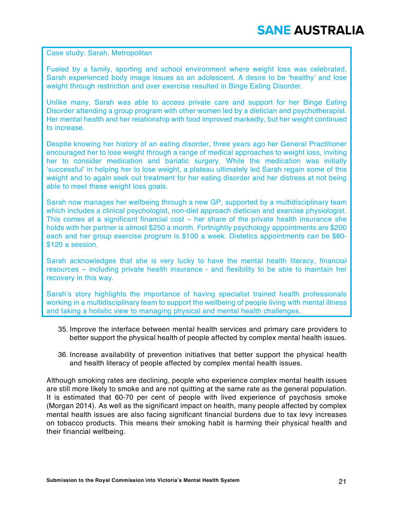Case study: Sarah, Metropolitan

Fueled by a family, sporting and school environment where weight loss was celebrated, Sarah experienced body image issues as an adolescent. A desire to be 'healthy' and lose weight through restriction and over exercise resulted in Binge Eating Disorder.

Unlike many, Sarah was able to access private care and support for her Binge Eating Disorder attending a group program with other women led by a dietician and psychotherapist. Her mental health and her relationship with food improved markedly, but her weight continued to increase.

Despite knowing her history of an eating disorder, three years ago her General Practitioner encouraged her to lose weight through a range of medical approaches to weight loss, inviting her to consider medication and bariatic surgery. While the medication was initially 'successful' in helping her to lose weight, a plateau ultimately led Sarah regain some of this weight and to again seek out treatment for her eating disorder and her distress at not being able to meet these weight loss goals.

Sarah now manages her wellbeing through a new GP, supported by a multidisciplinary team which includes a clinical psychologist, non-diet approach dietician and exercise physiologist. This comes at a significant financial cost – her share of the private health insurance she holds with her partner is almost \$250 a month. Fortnightly psychology appointments are \$200 each and her group exercise program is \$100 a week. Dietetics appointments can be \$80- \$120 a session.

Sarah acknowledges that she is very lucky to have the mental health literacy, financial resources – including private health insurance - and flexibility to be able to maintain her recovery in this way.

Sarah's story highlights the importance of having specialist trained health professionals working in a multidisciplinary team to support the wellbeing of people living with mental illness and taking a holistic view to managing physical and mental health challenges.

- 35. Improve the interface between mental health services and primary care providers to better support the physical health of people affected by complex mental health issues.
- 36. Increase availability of prevention initiatives that better support the physical health and health literacy of people affected by complex mental health issues.

Although smoking rates are declining, people who experience complex mental health issues are still more likely to smoke and are not quitting at the same rate as the general population. It is estimated that 60-70 per cent of people with lived experience of psychosis smoke (Morgan 2014). As well as the significant impact on health, many people affected by complex mental health issues are also facing significant financial burdens due to tax levy increases on tobacco products. This means their smoking habit is harming their physical health and their financial wellbeing.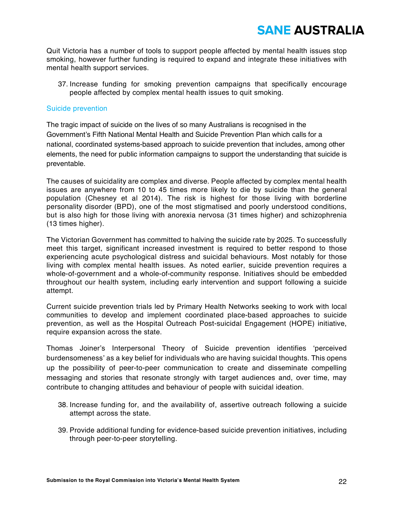Quit Victoria has a number of tools to support people affected by mental health issues stop smoking, however further funding is required to expand and integrate these initiatives with mental health support services.

37. Increase funding for smoking prevention campaigns that specifically encourage people affected by complex mental health issues to quit smoking.

#### Suicide prevention

The tragic impact of suicide on the lives of so many Australians is recognised in the Government's Fifth National Mental Health and Suicide Prevention Plan which calls for a national, coordinated systems-based approach to suicide prevention that includes, among other elements, the need for public information campaigns to support the understanding that suicide is preventable.

The causes of suicidality are complex and diverse. People affected by complex mental health issues are anywhere from 10 to 45 times more likely to die by suicide than the general population (Chesney et al 2014). The risk is highest for those living with borderline personality disorder (BPD), one of the most stigmatised and poorly understood conditions, but is also high for those living with anorexia nervosa (31 times higher) and schizophrenia (13 times higher).

The Victorian Government has committed to halving the suicide rate by 2025. To successfully meet this target, significant increased investment is required to better respond to those experiencing acute psychological distress and suicidal behaviours. Most notably for those living with complex mental health issues. As noted earlier, suicide prevention requires a whole-of-government and a whole-of-community response. Initiatives should be embedded throughout our health system, including early intervention and support following a suicide attempt.

Current suicide prevention trials led by Primary Health Networks seeking to work with local communities to develop and implement coordinated place-based approaches to suicide prevention, as well as the Hospital Outreach Post-suicidal Engagement (HOPE) initiative, require expansion across the state.

Thomas Joiner's Interpersonal Theory of Suicide prevention identifies 'perceived burdensomeness' as a key belief for individuals who are having suicidal thoughts. This opens up the possibility of peer-to-peer communication to create and disseminate compelling messaging and stories that resonate strongly with target audiences and, over time, may contribute to changing attitudes and behaviour of people with suicidal ideation.

- 38. Increase funding for, and the availability of, assertive outreach following a suicide attempt across the state.
- 39. Provide additional funding for evidence-based suicide prevention initiatives, including through peer-to-peer storytelling.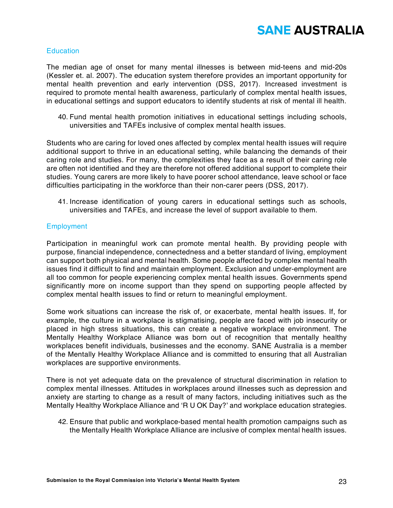#### **Education**

The median age of onset for many mental illnesses is between mid-teens and mid-20s (Kessler et. al. 2007). The education system therefore provides an important opportunity for mental health prevention and early intervention (DSS, 2017). Increased investment is required to promote mental health awareness, particularly of complex mental health issues, in educational settings and support educators to identify students at risk of mental ill health.

40. Fund mental health promotion initiatives in educational settings including schools, universities and TAFEs inclusive of complex mental health issues.

Students who are caring for loved ones affected by complex mental health issues will require additional support to thrive in an educational setting, while balancing the demands of their caring role and studies. For many, the complexities they face as a result of their caring role are often not identified and they are therefore not offered additional support to complete their studies. Young carers are more likely to have poorer school attendance, leave school or face difficulties participating in the workforce than their non-carer peers (DSS, 2017).

41. Increase identification of young carers in educational settings such as schools, universities and TAFEs, and increase the level of support available to them.

#### **Employment**

Participation in meaningful work can promote mental health. By providing people with purpose, financial independence, connectedness and a better standard of living, employment can support both physical and mental health. Some people affected by complex mental health issues find it difficult to find and maintain employment. Exclusion and under-employment are all too common for people experiencing complex mental health issues. Governments spend significantly more on income support than they spend on supporting people affected by complex mental health issues to find or return to meaningful employment.

Some work situations can increase the risk of, or exacerbate, mental health issues. If, for example, the culture in a workplace is stigmatising, people are faced with job insecurity or placed in high stress situations, this can create a negative workplace environment. The Mentally Healthy Workplace Alliance was born out of recognition that mentally healthy workplaces benefit individuals, businesses and the economy. SANE Australia is a member of the Mentally Healthy Workplace Alliance and is committed to ensuring that all Australian workplaces are supportive environments.

There is not yet adequate data on the prevalence of structural discrimination in relation to complex mental illnesses. Attitudes in workplaces around illnesses such as depression and anxiety are starting to change as a result of many factors, including initiatives such as the Mentally Healthy Workplace Alliance and 'R U OK Day?' and workplace education strategies.

42. Ensure that public and workplace-based mental health promotion campaigns such as the Mentally Health Workplace Alliance are inclusive of complex mental health issues.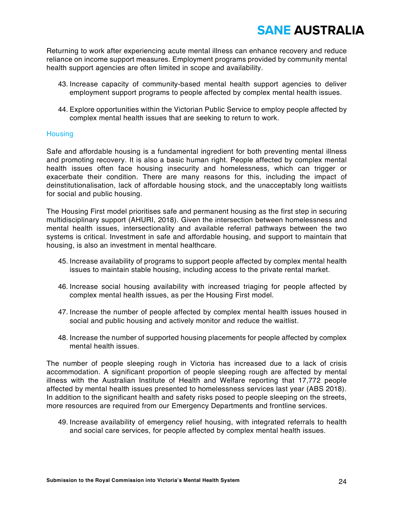Returning to work after experiencing acute mental illness can enhance recovery and reduce reliance on income support measures. Employment programs provided by community mental health support agencies are often limited in scope and availability.

- 43. Increase capacity of community-based mental health support agencies to deliver employment support programs to people affected by complex mental health issues.
- 44. Explore opportunities within the Victorian Public Service to employ people affected by complex mental health issues that are seeking to return to work.

#### **Housing**

Safe and affordable housing is a fundamental ingredient for both preventing mental illness and promoting recovery. It is also a basic human right. People affected by complex mental health issues often face housing insecurity and homelessness, which can trigger or exacerbate their condition. There are many reasons for this, including the impact of deinstitutionalisation, lack of affordable housing stock, and the unacceptably long waitlists for social and public housing.

The Housing First model prioritises safe and permanent housing as the first step in securing multidisciplinary support (AHURI, 2018). Given the intersection between homelessness and mental health issues, intersectionality and available referral pathways between the two systems is critical. Investment in safe and affordable housing, and support to maintain that housing, is also an investment in mental healthcare.

- 45. Increase availability of programs to support people affected by complex mental health issues to maintain stable housing, including access to the private rental market.
- 46. Increase social housing availability with increased triaging for people affected by complex mental health issues, as per the Housing First model.
- 47. Increase the number of people affected by complex mental health issues housed in social and public housing and actively monitor and reduce the waitlist.
- 48. Increase the number of supported housing placements for people affected by complex mental health issues.

The number of people sleeping rough in Victoria has increased due to a lack of crisis accommodation. A significant proportion of people sleeping rough are affected by mental illness with the Australian Institute of Health and Welfare reporting that 17,772 people affected by mental health issues presented to homelessness services last year (ABS 2018). In addition to the significant health and safety risks posed to people sleeping on the streets, more resources are required from our Emergency Departments and frontline services.

49. Increase availability of emergency relief housing, with integrated referrals to health and social care services, for people affected by complex mental health issues.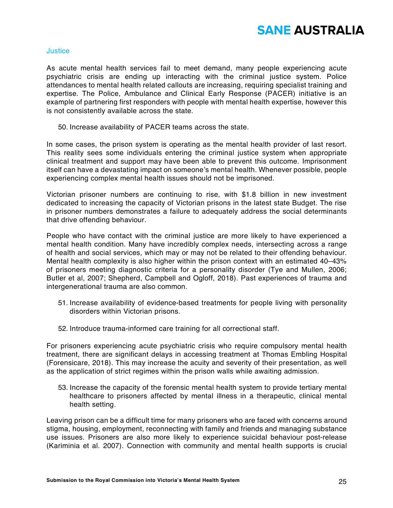

#### **Justice**

As acute mental health services fail to meet demand, many people experiencing acute psychiatric crisis are ending up interacting with the criminal justice system. Police attendances to mental health related callouts are increasing, requiring specialist training and expertise. The Police, Ambulance and Clinical Early Response (PACER) initiative is an example of partnering first responders with people with mental health expertise, however this is not consistently available across the state.

50. Increase availability of PACER teams across the state.

In some cases, the prison system is operating as the mental health provider of last resort. This reality sees some individuals entering the criminal justice system when appropriate clinical treatment and support may have been able to prevent this outcome. Imprisonment itself can have a devastating impact on someone's mental health. Whenever possible, people experiencing complex mental health issues should not be imprisoned.

Victorian prisoner numbers are continuing to rise, with \$1.8 billion in new investment dedicated to increasing the capacity of Victorian prisons in the latest state Budget. The rise in prisoner numbers demonstrates a failure to adequately address the social determinants that drive offending behaviour.

People who have contact with the criminal justice are more likely to have experienced a mental health condition. Many have incredibly complex needs, intersecting across a range of health and social services, which may or may not be related to their offending behaviour. Mental health complexity is also higher within the prison context with an estimated 40–43% of prisoners meeting diagnostic criteria for a personality disorder (Tye and Mullen, 2006; Butler et al, 2007; Shepherd, Campbell and Ogloff, 2018). Past experiences of trauma and intergenerational trauma are also common.

- 51. Increase availability of evidence-based treatments for people living with personality disorders within Victorian prisons.
- 52. Introduce trauma-informed care training for all correctional staff.

For prisoners experiencing acute psychiatric crisis who require compulsory mental health treatment, there are significant delays in accessing treatment at Thomas Embling Hospital (Forensicare, 2018). This may increase the acuity and severity of their presentation, as well as the application of strict regimes within the prison walls while awaiting admission.

53. Increase the capacity of the forensic mental health system to provide tertiary mental healthcare to prisoners affected by mental illness in a therapeutic, clinical mental health setting.

Leaving prison can be a difficult time for many prisoners who are faced with concerns around stigma, housing, employment, reconnecting with family and friends and managing substance use issues. Prisoners are also more likely to experience suicidal behaviour post-release (Kariminia et al. 2007). Connection with community and mental health supports is crucial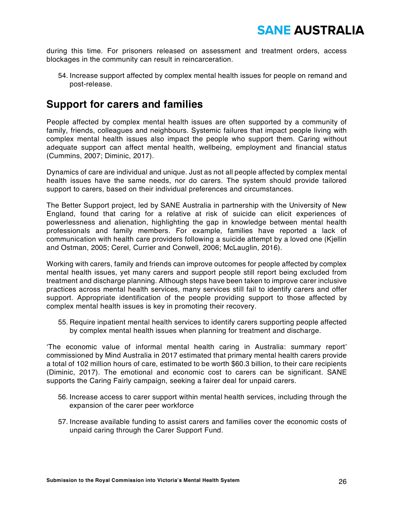

during this time. For prisoners released on assessment and treatment orders, access blockages in the community can result in reincarceration.

54. Increase support affected by complex mental health issues for people on remand and post-release.

### **Support for carers and families**

People affected by complex mental health issues are often supported by a community of family, friends, colleagues and neighbours. Systemic failures that impact people living with complex mental health issues also impact the people who support them. Caring without adequate support can affect mental health, wellbeing, employment and financial status (Cummins, 2007; Diminic, 2017).

Dynamics of care are individual and unique. Just as not all people affected by complex mental health issues have the same needs, nor do carers. The system should provide tailored support to carers, based on their individual preferences and circumstances.

The Better Support project, led by SANE Australia in partnership with the University of New England, found that caring for a relative at risk of suicide can elicit experiences of powerlessness and alienation, highlighting the gap in knowledge between mental health professionals and family members. For example, families have reported a lack of communication with health care providers following a suicide attempt by a loved one (Kjellin and Ostman, 2005; Cerel, Currier and Conwell, 2006; McLauglin, 2016).

Working with carers, family and friends can improve outcomes for people affected by complex mental health issues, yet many carers and support people still report being excluded from treatment and discharge planning. Although steps have been taken to improve carer inclusive practices across mental health services, many services still fail to identify carers and offer support. Appropriate identification of the people providing support to those affected by complex mental health issues is key in promoting their recovery.

55. Require inpatient mental health services to identify carers supporting people affected by complex mental health issues when planning for treatment and discharge.

'The economic value of informal mental health caring in Australia: summary report' commissioned by Mind Australia in 2017 estimated that primary mental health carers provide a total of 102 million hours of care, estimated to be worth \$60.3 billion, to their care recipients (Diminic, 2017). The emotional and economic cost to carers can be significant. SANE supports the Caring Fairly campaign, seeking a fairer deal for unpaid carers.

- 56. Increase access to carer support within mental health services, including through the expansion of the carer peer workforce
- 57. Increase available funding to assist carers and families cover the economic costs of unpaid caring through the Carer Support Fund.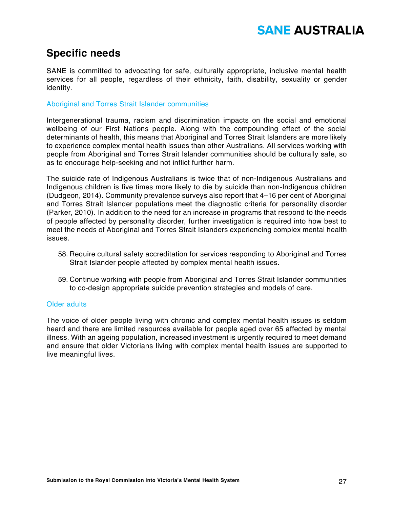### **Specific needs**

SANE is committed to advocating for safe, culturally appropriate, inclusive mental health services for all people, regardless of their ethnicity, faith, disability, sexuality or gender identity.

#### Aboriginal and Torres Strait Islander communities

Intergenerational trauma, racism and discrimination impacts on the social and emotional wellbeing of our First Nations people. Along with the compounding effect of the social determinants of health, this means that Aboriginal and Torres Strait Islanders are more likely to experience complex mental health issues than other Australians. All services working with people from Aboriginal and Torres Strait Islander communities should be culturally safe, so as to encourage help-seeking and not inflict further harm.

The suicide rate of Indigenous Australians is twice that of non-Indigenous Australians and Indigenous children is five times more likely to die by suicide than non-Indigenous children (Dudgeon, 2014). Community prevalence surveys also report that 4–16 per cent of Aboriginal and Torres Strait Islander populations meet the diagnostic criteria for personality disorder (Parker, 2010). In addition to the need for an increase in programs that respond to the needs of people affected by personality disorder, further investigation is required into how best to meet the needs of Aboriginal and Torres Strait Islanders experiencing complex mental health issues.

- 58. Require cultural safety accreditation for services responding to Aboriginal and Torres Strait Islander people affected by complex mental health issues.
- 59. Continue working with people from Aboriginal and Torres Strait Islander communities to co-design appropriate suicide prevention strategies and models of care.

#### Older adults

The voice of older people living with chronic and complex mental health issues is seldom heard and there are limited resources available for people aged over 65 affected by mental illness. With an ageing population, increased investment is urgently required to meet demand and ensure that older Victorians living with complex mental health issues are supported to live meaningful lives.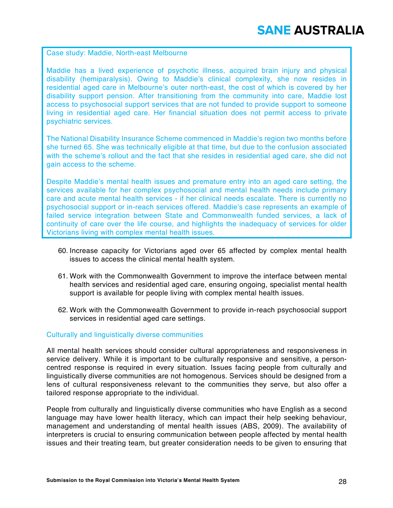Case study: Maddie, North-east Melbourne

Maddie has a lived experience of psychotic illness, acquired brain injury and physical disability (hemiparalysis). Owing to Maddie's clinical complexity, she now resides in residential aged care in Melbourne's outer north-east, the cost of which is covered by her disability support pension. After transitioning from the community into care, Maddie lost access to psychosocial support services that are not funded to provide support to someone living in residential aged care. Her financial situation does not permit access to private psychiatric services.

The National Disability Insurance Scheme commenced in Maddie's region two months before she turned 65. She was technically eligible at that time, but due to the confusion associated with the scheme's rollout and the fact that she resides in residential aged care, she did not gain access to the scheme.

Despite Maddie's mental health issues and premature entry into an aged care setting, the services available for her complex psychosocial and mental health needs include primary care and acute mental health services - if her clinical needs escalate. There is currently no psychosocial support or in-reach services offered. Maddie's case represents an example of failed service integration between State and Commonwealth funded services, a lack of continuity of care over the life course, and highlights the inadequacy of services for older Victorians living with complex mental health issues.

- 60. Increase capacity for Victorians aged over 65 affected by complex mental health issues to access the clinical mental health system.
- 61. Work with the Commonwealth Government to improve the interface between mental health services and residential aged care, ensuring ongoing, specialist mental health support is available for people living with complex mental health issues.
- 62. Work with the Commonwealth Government to provide in-reach psychosocial support services in residential aged care settings.

#### Culturally and linguistically diverse communities

All mental health services should consider cultural appropriateness and responsiveness in service delivery. While it is important to be culturally responsive and sensitive, a personcentred response is required in every situation. Issues facing people from culturally and linguistically diverse communities are not homogenous. Services should be designed from a lens of cultural responsiveness relevant to the communities they serve, but also offer a tailored response appropriate to the individual.

People from culturally and linguistically diverse communities who have English as a second language may have lower health literacy, which can impact their help seeking behaviour, management and understanding of mental health issues (ABS, 2009). The availability of interpreters is crucial to ensuring communication between people affected by mental health issues and their treating team, but greater consideration needs to be given to ensuring that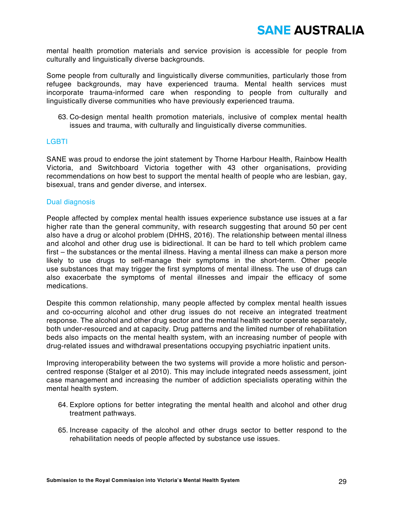mental health promotion materials and service provision is accessible for people from culturally and linguistically diverse backgrounds.

Some people from culturally and linguistically diverse communities, particularly those from refugee backgrounds, may have experienced trauma. Mental health services must incorporate trauma-informed care when responding to people from culturally and linguistically diverse communities who have previously experienced trauma.

63. Co-design mental health promotion materials, inclusive of complex mental health issues and trauma, with culturally and linguistically diverse communities.

#### **LGBTI**

SANE was proud to endorse the joint statement by Thorne Harbour Health, Rainbow Health Victoria, and Switchboard Victoria together with 43 other organisations, providing recommendations on how best to support the mental health of people who are lesbian, gay, bisexual, trans and gender diverse, and intersex.

#### Dual diagnosis

People affected by complex mental health issues experience substance use issues at a far higher rate than the general community, with research suggesting that around 50 per cent also have a drug or alcohol problem (DHHS, 2016). The relationship between mental illness and alcohol and other drug use is bidirectional. It can be hard to tell which problem came first – the substances or the mental illness. Having a mental illness can make a person more likely to use drugs to self-manage their symptoms in the short-term. Other people use substances that may trigger the first symptoms of mental illness. The use of drugs can also exacerbate the symptoms of mental illnesses and impair the efficacy of some medications.

Despite this common relationship, many people affected by complex mental health issues and co-occurring alcohol and other drug issues do not receive an integrated treatment response. The alcohol and other drug sector and the mental health sector operate separately, both under-resourced and at capacity. Drug patterns and the limited number of rehabilitation beds also impacts on the mental health system, with an increasing number of people with drug-related issues and withdrawal presentations occupying psychiatric inpatient units.

Improving interoperability between the two systems will provide a more holistic and personcentred response (Stalger et al 2010). This may include integrated needs assessment, joint case management and increasing the number of addiction specialists operating within the mental health system.

- 64. Explore options for better integrating the mental health and alcohol and other drug treatment pathways.
- 65. Increase capacity of the alcohol and other drugs sector to better respond to the rehabilitation needs of people affected by substance use issues.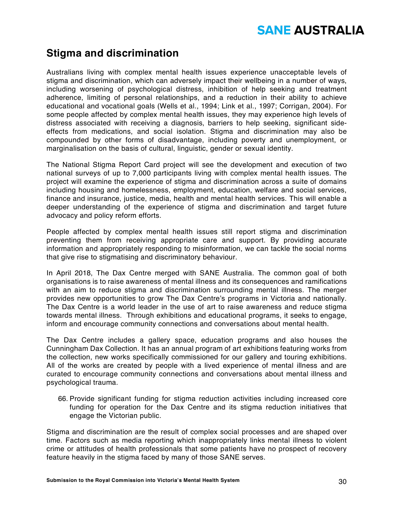### **Stigma and discrimination**

Australians living with complex mental health issues experience unacceptable levels of stigma and discrimination, which can adversely impact their wellbeing in a number of ways, including worsening of psychological distress, inhibition of help seeking and treatment adherence, limiting of personal relationships, and a reduction in their ability to achieve educational and vocational goals (Wells et al., 1994; Link et al., 1997; Corrigan, 2004). For some people affected by complex mental health issues, they may experience high levels of distress associated with receiving a diagnosis, barriers to help seeking, significant sideeffects from medications, and social isolation. Stigma and discrimination may also be compounded by other forms of disadvantage, including poverty and unemployment, or marginalisation on the basis of cultural, linguistic, gender or sexual identity.

The National Stigma Report Card project will see the development and execution of two national surveys of up to 7,000 participants living with complex mental health issues. The project will examine the experience of stigma and discrimination across a suite of domains including housing and homelessness, employment, education, welfare and social services, finance and insurance, justice, media, health and mental health services. This will enable a deeper understanding of the experience of stigma and discrimination and target future advocacy and policy reform efforts.

People affected by complex mental health issues still report stigma and discrimination preventing them from receiving appropriate care and support. By providing accurate information and appropriately responding to misinformation, we can tackle the social norms that give rise to stigmatising and discriminatory behaviour.

In April 2018, The Dax Centre merged with SANE Australia. The common goal of both organisations is to raise awareness of mental illness and its consequences and ramifications with an aim to reduce stigma and discrimination surrounding mental illness. The merger provides new opportunities to grow The Dax Centre's programs in Victoria and nationally. The Dax Centre is a world leader in the use of art to raise awareness and reduce stigma towards mental illness. Through exhibitions and educational programs, it seeks to engage, inform and encourage community connections and conversations about mental health.

The Dax Centre includes a gallery space, education programs and also houses the Cunningham Dax Collection. It has an annual program of art exhibitions featuring works from the collection, new works specifically commissioned for our gallery and touring exhibitions. All of the works are created by people with a lived experience of mental illness and are curated to encourage community connections and conversations about mental illness and psychological trauma.

66. Provide significant funding for stigma reduction activities including increased core funding for operation for the Dax Centre and its stigma reduction initiatives that engage the Victorian public.

Stigma and discrimination are the result of complex social processes and are shaped over time. Factors such as media reporting which inappropriately links mental illness to violent crime or attitudes of health professionals that some patients have no prospect of recovery feature heavily in the stigma faced by many of those SANE serves.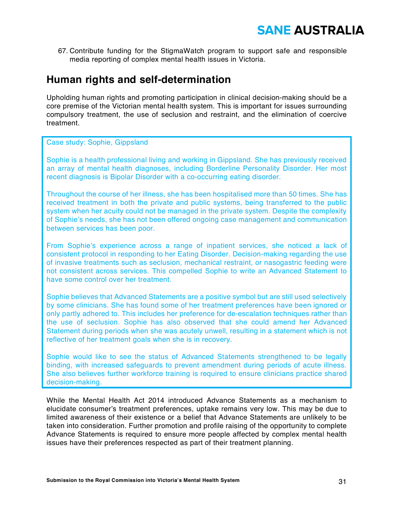

67. Contribute funding for the StigmaWatch program to support safe and responsible media reporting of complex mental health issues in Victoria.

### **Human rights and self-determination**

Upholding human rights and promoting participation in clinical decision-making should be a core premise of the Victorian mental health system. This is important for issues surrounding compulsory treatment, the use of seclusion and restraint, and the elimination of coercive treatment.

Case study: Sophie, Gippsland

Sophie is a health professional living and working in Gippsland. She has previously received an array of mental health diagnoses, including Borderline Personality Disorder. Her most recent diagnosis is Bipolar Disorder with a co-occurring eating disorder.

Throughout the course of her illness, she has been hospitalised more than 50 times. She has received treatment in both the private and public systems, being transferred to the public system when her acuity could not be managed in the private system. Despite the complexity of Sophie's needs, she has not been offered ongoing case management and communication between services has been poor.

From Sophie's experience across a range of inpatient services, she noticed a lack of consistent protocol in responding to her Eating Disorder. Decision-making regarding the use of invasive treatments such as seclusion, mechanical restraint, or nasogastric feeding were not consistent across services. This compelled Sophie to write an Advanced Statement to have some control over her treatment.

Sophie believes that Advanced Statements are a positive symbol but are still used selectively by some clinicians. She has found some of her treatment preferences have been ignored or only partly adhered to. This includes her preference for de-escalation techniques rather than the use of seclusion. Sophie has also observed that she could amend her Advanced Statement during periods when she was acutely unwell, resulting in a statement which is not reflective of her treatment goals when she is in recovery.

Sophie would like to see the status of Advanced Statements strengthened to be legally binding, with increased safeguards to prevent amendment during periods of acute illness. She also believes further workforce training is required to ensure clinicians practice shared decision-making.

While the Mental Health Act 2014 introduced Advance Statements as a mechanism to elucidate consumer's treatment preferences, uptake remains very low. This may be due to limited awareness of their existence or a belief that Advance Statements are unlikely to be taken into consideration. Further promotion and profile raising of the opportunity to complete Advance Statements is required to ensure more people affected by complex mental health issues have their preferences respected as part of their treatment planning.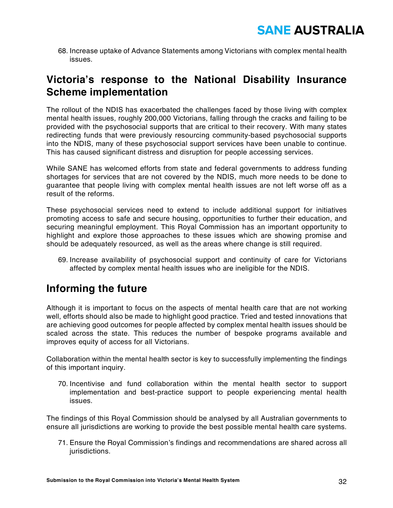68. Increase uptake of Advance Statements among Victorians with complex mental health issues.

### **Victoria's response to the National Disability Insurance Scheme implementation**

The rollout of the NDIS has exacerbated the challenges faced by those living with complex mental health issues, roughly 200,000 Victorians, falling through the cracks and failing to be provided with the psychosocial supports that are critical to their recovery. With many states redirecting funds that were previously resourcing community-based psychosocial supports into the NDIS, many of these psychosocial support services have been unable to continue. This has caused significant distress and disruption for people accessing services.

While SANE has welcomed efforts from state and federal governments to address funding shortages for services that are not covered by the NDIS, much more needs to be done to guarantee that people living with complex mental health issues are not left worse off as a result of the reforms.

These psychosocial services need to extend to include additional support for initiatives promoting access to safe and secure housing, opportunities to further their education, and securing meaningful employment. This Royal Commission has an important opportunity to highlight and explore those approaches to these issues which are showing promise and should be adequately resourced, as well as the areas where change is still required.

69. Increase availability of psychosocial support and continuity of care for Victorians affected by complex mental health issues who are ineligible for the NDIS.

### **Informing the future**

Although it is important to focus on the aspects of mental health care that are not working well, efforts should also be made to highlight good practice. Tried and tested innovations that are achieving good outcomes for people affected by complex mental health issues should be scaled across the state. This reduces the number of bespoke programs available and improves equity of access for all Victorians.

Collaboration within the mental health sector is key to successfully implementing the findings of this important inquiry.

70. Incentivise and fund collaboration within the mental health sector to support implementation and best-practice support to people experiencing mental health issues.

The findings of this Royal Commission should be analysed by all Australian governments to ensure all jurisdictions are working to provide the best possible mental health care systems.

71. Ensure the Royal Commission's findings and recommendations are shared across all jurisdictions.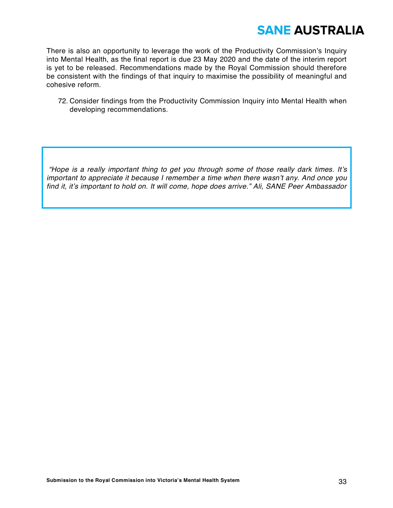

There is also an opportunity to leverage the work of the Productivity Commission's Inquiry into Mental Health, as the final report is due 23 May 2020 and the date of the interim report is yet to be released. Recommendations made by the Royal Commission should therefore be consistent with the findings of that inquiry to maximise the possibility of meaningful and cohesive reform.

72. Consider findings from the Productivity Commission Inquiry into Mental Health when developing recommendations.

*"Hope is a really important thing to get you through some of those really dark times. It's important to appreciate it because I remember a time when there wasn't any. And once you find it, it's important to hold on. It will come, hope does arrive." Ali, SANE Peer Ambassador*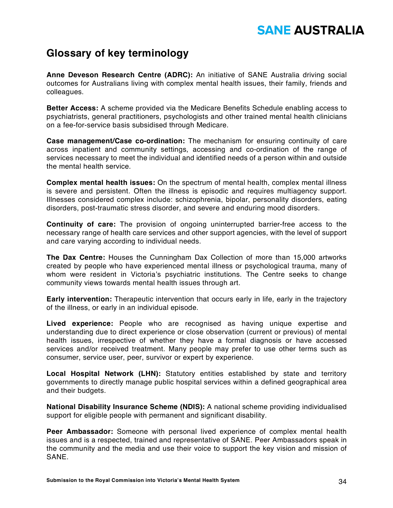### **Glossary of key terminology**

**Anne Deveson Research Centre (ADRC):** An initiative of SANE Australia driving social outcomes for Australians living with complex mental health issues, their family, friends and colleagues.

**Better Access:** A scheme provided via the Medicare Benefits Schedule enabling access to psychiatrists, general practitioners, psychologists and other trained mental health clinicians on a fee-for-service basis subsidised through Medicare.

**Case management/Case co-ordination:** The mechanism for ensuring continuity of care across inpatient and community settings, accessing and co-ordination of the range of services necessary to meet the individual and identified needs of a person within and outside the mental health service.

**Complex mental health issues:** On the spectrum of mental health, complex mental illness is severe and persistent. Often the illness is episodic and requires multiagency support. Illnesses considered complex include: schizophrenia, bipolar, personality disorders, eating disorders, post-traumatic stress disorder, and severe and enduring mood disorders.

**Continuity of care:** The provision of ongoing uninterrupted barrier-free access to the necessary range of health care services and other support agencies, with the level of support and care varying according to individual needs.

**The Dax Centre:** Houses the Cunningham Dax Collection of more than 15,000 artworks created by people who have experienced mental illness or psychological trauma, many of whom were resident in Victoria's psychiatric institutions. The Centre seeks to change community views towards mental health issues through art.

**Early intervention:** Therapeutic intervention that occurs early in life, early in the trajectory of the illness, or early in an individual episode.

**Lived experience:** People who are recognised as having unique expertise and understanding due to direct experience or close observation (current or previous) of mental health issues, irrespective of whether they have a formal diagnosis or have accessed services and/or received treatment. Many people may prefer to use other terms such as consumer, service user, peer, survivor or expert by experience.

**Local Hospital Network (LHN):** Statutory entities established by state and territory governments to directly manage public hospital services within a defined geographical area and their budgets.

**National Disability Insurance Scheme (NDIS):** A national scheme providing individualised support for eligible people with permanent and significant disability.

**Peer Ambassador:** Someone with personal lived experience of complex mental health issues and is a respected, trained and representative of SANE. Peer Ambassadors speak in the community and the media and use their voice to support the key vision and mission of SANE.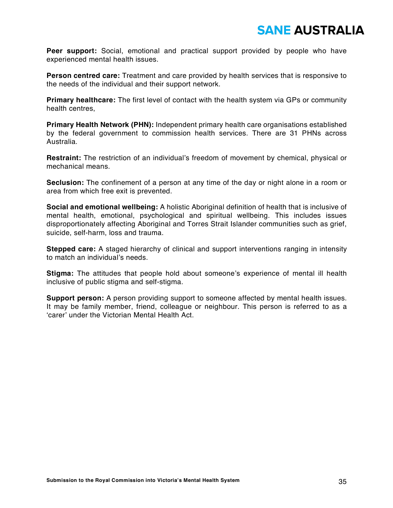**Peer support:** Social, emotional and practical support provided by people who have experienced mental health issues.

**Person centred care:** Treatment and care provided by health services that is responsive to the needs of the individual and their support network.

**Primary healthcare:** The first level of contact with the health system via GPs or community health centres,

**Primary Health Network (PHN):** Independent primary health care organisations established by the federal government to commission health services. There are 31 PHNs across Australia.

**Restraint:** The restriction of an individual's freedom of movement by chemical, physical or mechanical means.

**Seclusion:** The confinement of a person at any time of the day or night alone in a room or area from which free exit is prevented.

**Social and emotional wellbeing:** A holistic Aboriginal definition of health that is inclusive of mental health, emotional, psychological and spiritual wellbeing. This includes issues disproportionately affecting Aboriginal and Torres Strait Islander communities such as grief, suicide, self-harm, loss and trauma.

**Stepped care:** A staged hierarchy of clinical and support interventions ranging in intensity to match an individual's needs.

**Stigma:** The attitudes that people hold about someone's experience of mental ill health inclusive of public stigma and self-stigma.

**Support person:** A person providing support to someone affected by mental health issues. It may be family member, friend, colleague or neighbour. This person is referred to as a 'carer' under the Victorian Mental Health Act.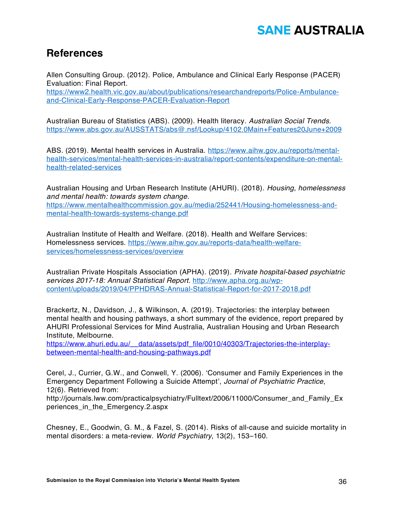### **References**

Allen Consulting Group. (2012). Police, Ambulance and Clinical Early Response (PACER) Evaluation: Final Report. https://www2.health.vic.gov.au/about/publications/researchandreports/Police-Ambulanceand-Clinical-Early-Response-PACER-Evaluation-Report

Australian Bureau of Statistics (ABS). (2009). Health literacy. *Australian Social Trends.* https://www.abs.gov.au/AUSSTATS/abs@.nsf/Lookup/4102.0Main+Features20June+2009

ABS. (2019). Mental health services in Australia. https://www.aihw.gov.au/reports/mentalhealth-services/mental-health-services-in-australia/report-contents/expenditure-on-mentalhealth-related-services

Australian Housing and Urban Research Institute (AHURI). (2018). *Housing, homelessness and mental health: towards system change.*  https://www.mentalhealthcommission.gov.au/media/252441/Housing-homelessness-andmental-health-towards-systems-change.pdf

Australian Institute of Health and Welfare. (2018). Health and Welfare Services: Homelessness services. https://www.aihw.gov.au/reports-data/health-welfareservices/homelessness-services/overview

Australian Private Hospitals Association (APHA). (2019). *Private hospital-based psychiatric services 2017-18: Annual Statistical Report*. http://www.apha.org.au/wpcontent/uploads/2019/04/PPHDRAS-Annual-Statistical-Report-for-2017-2018.pdf

Brackertz, N., Davidson, J., & Wilkinson, A. (2019). Trajectories: the interplay between mental health and housing pathways, a short summary of the evidence, report prepared by AHURI Professional Services for Mind Australia, Australian Housing and Urban Research Institute, Melbourne.

https://www.ahuri.edu.au/\_\_data/assets/pdf\_file/0010/40303/Trajectories-the-interplaybetween-mental-health-and-housing-pathways.pdf

Cerel, J., Currier, G.W., and Conwell, Y. (2006). 'Consumer and Family Experiences in the Emergency Department Following a Suicide Attempt', *Journal of Psychiatric Practice*, 12(6). Retrieved from:

http://journals.lww.com/practicalpsychiatry/Fulltext/2006/11000/Consumer\_and\_Family\_Ex periences\_in\_the\_Emergency.2.aspx

Chesney, E., Goodwin, G. M., & Fazel, S. (2014). Risks of all-cause and suicide mortality in mental disorders: a meta-review. *World Psychiatry*, 13(2), 153–160.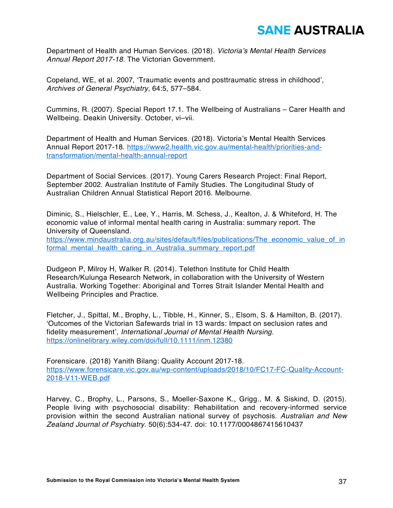Department of Health and Human Services. (2018). *Victoria's Mental Health Services Annual Report 2017-18.* The Victorian Government.

Copeland, WE, et al. 2007, 'Traumatic events and posttraumatic stress in childhood', *Archives of General Psychiatry,* 64:5, 577–584.

Cummins, R. (2007). Special Report 17.1. The Wellbeing of Australians – Carer Health and Wellbeing. Deakin University. October, vi–vii.

Department of Health and Human Services. (2018). Victoria's Mental Health Services Annual Report 2017-18. https://www2.health.vic.gov.au/mental-health/priorities-andtransformation/mental-health-annual-report

Department of Social Services. (2017). Young Carers Research Project: Final Report, September 2002. Australian Institute of Family Studies. The Longitudinal Study of Australian Children Annual Statistical Report 2016. Melbourne.

Diminic, S., Hielschler, E., Lee, Y., Harris, M. Schess, J., Kealton, J. & Whiteford, H. The economic value of informal mental health caring in Australia: summary report. The University of Queensland.

https://www.mindaustralia.org.au/sites/default/files/publications/The\_economic\_value\_of\_in formal\_mental\_health\_caring\_in\_Australia\_summary\_report.pdf

Dudgeon P, Milroy H, Walker R. (2014). Telethon Institute for Child Health Research/Kulunga Research Network, in collaboration with the University of Western Australia. Working Together: Aboriginal and Torres Strait Islander Mental Health and Wellbeing Principles and Practice.

Fletcher, J., Spittal, M., Brophy, L., Tibble, H., Kinner, S., Elsom, S. & Hamilton, B. (2017). 'Outcomes of the Victorian Safewards trial in 13 wards: Impact on seclusion rates and fidelity measurement', *International Journal of Mental Health Nursing.* https://onlinelibrary.wiley.com/doi/full/10.1111/inm.12380

Forensicare. (2018) Yanith Bilang: Quality Account 2017-18. https://www.forensicare.vic.gov.au/wp-content/uploads/2018/10/FC17-FC-Quality-Account-2018-V11-WEB.pdf

Harvey, C., Brophy, L., Parsons, S., Moeller-Saxone K., Grigg., M. & Siskind, D. (2015). People living with psychosocial disability: Rehabilitation and recovery-informed service provision within the second Australian national survey of psychosis. *Australian and New Zealand Journal of Psychiatry*. 50(6):534-47. doi: 10.1177/0004867415610437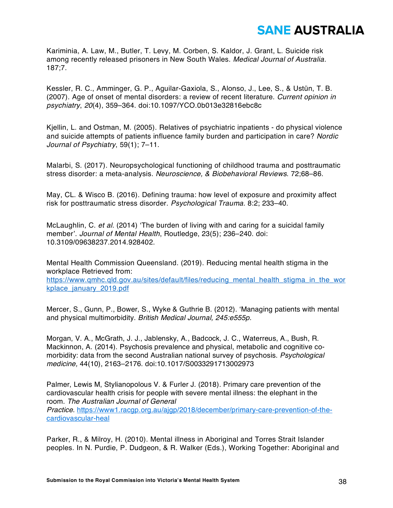Kariminia, A. Law, M., Butler, T. Levy, M. Corben, S. Kaldor, J. Grant, L. Suicide risk among recently released prisoners in New South Wales. *Medical Journal of Australia.*  187;7.

Kessler, R. C., Amminger, G. P., Aguilar-Gaxiola, S., Alonso, J., Lee, S., & Ustün, T. B. (2007). Age of onset of mental disorders: a review of recent literature. *Current opinion in psychiatry*, *20*(4), 359–364. doi:10.1097/YCO.0b013e32816ebc8c

Kjellin, L. and Ostman, M. (2005). Relatives of psychiatric inpatients - do physical violence and suicide attempts of patients influence family burden and participation in care? *Nordic Journal of Psychiatry*, 59(1); 7–11.

Malarbi, S. (2017). Neuropsychological functioning of childhood trauma and posttraumatic stress disorder: a meta-analysis. *Neuroscience, & Biobehavioral Reviews*. 72;68–86.

May, CL. & Wisco B. (2016). Defining trauma: how level of exposure and proximity affect risk for posttraumatic stress disorder. *Psychological Trauma.* 8:2; 233–40.

McLaughlin, C. *et al.* (2014) 'The burden of living with and caring for a suicidal family member'. *Journal of Mental Health*, Routledge, 23(5); 236–240. doi: 10.3109/09638237.2014.928402.

Mental Health Commission Queensland. (2019). Reducing mental health stigma in the workplace Retrieved from:

https://www.qmhc.qld.gov.au/sites/default/files/reducing\_mental\_health\_stigma\_in\_the\_wor kplace\_january\_2019.pdf

Mercer, S., Gunn, P., Bower, S., Wyke & Guthrie B. (2012). 'Managing patients with mental and physical multimorbidity. *British Medical Journal, 245:e555p.*

Morgan, V. A., McGrath, J. J., Jablensky, A., Badcock, J. C., Waterreus, A., Bush, R. Mackinnon, A. (2014). Psychosis prevalence and physical, metabolic and cognitive comorbidity: data from the second Australian national survey of psychosis. *Psychological medicine,* 44(10), 2163–2176. doi:10.1017/S0033291713002973

Palmer, Lewis M, Stylianopolous V. & Furler J. (2018). Primary care prevention of the cardiovascular health crisis for people with severe mental illness: the elephant in the room. *The Australian Journal of General Practice*. https://www1.racgp.org.au/ajgp/2018/december/primary-care-prevention-of-thecardiovascular-heal

Parker, R., & Milroy, H. (2010). Mental illness in Aboriginal and Torres Strait Islander peoples. In N. Purdie, P. Dudgeon, & R. Walker (Eds.), Working Together: Aboriginal and